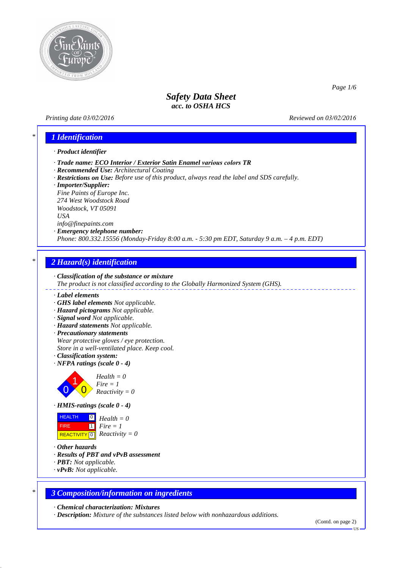

### *Printing date 03/02/2016 Reviewed on 03/02/2016*

*Page 1/6*

# *\* 1 Identification*

#### *· Product identifier*

- *· Trade name: ECO Interior / Exterior Satin Enamel various colors TR*
- *· Recommended Use: Architectural Coating*
- *· Restrictions on Use: Before use of this product, always read the label and SDS carefully.*
- *· Importer/Supplier:*

*Fine Paints of Europe Inc. 274 West Woodstock Road Woodstock, VT 05091 USA info@finepaints.com*

*· Emergency telephone number:*

*Phone: 800.332.15556 (Monday-Friday 8:00 a.m. - 5:30 pm EDT, Saturday 9 a.m. – 4 p.m. EDT)*

# *\* 2 Hazard(s) identification*



- *· Label elements*
- *· GHS label elements Not applicable.*
- *· Hazard pictograms Not applicable.*
- *· Signal word Not applicable.*
- *· Hazard statements Not applicable.*
- *· Precautionary statements Wear protective gloves / eye protection. Store in a well-ventilated place. Keep cool.*
- *· Classification system:*
- *· NFPA ratings (scale 0 4)*



*Fire = 1 Reactivity = 0*



**HEALTH**  FIRE  $\overline{REACTIVITY \, \vert \, \vert \, \vert}$  *Reactivity = 0* 0 *Health = 0* 1 *Fire = 1*

- *· Other hazards*
- *· Results of PBT and vPvB assessment*
- *· PBT: Not applicable.*
- *· vPvB: Not applicable.*

### *\* 3 Composition/information on ingredients*

*· Chemical characterization: Mixtures*

*· Description: Mixture of the substances listed below with nonhazardous additions.*

<sup>(</sup>Contd. on page 2)

US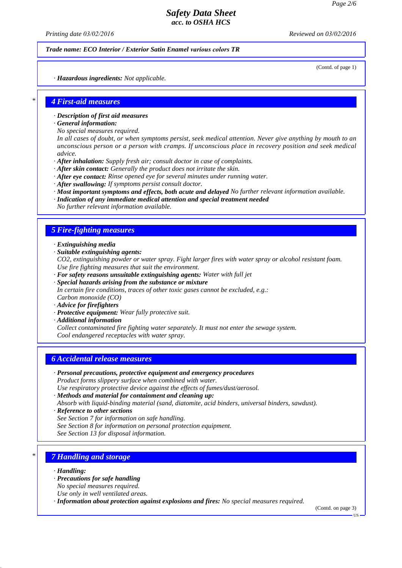*Printing date 03/02/2016 Reviewed on 03/02/2016*

*Trade name: ECO Interior / Exterior Satin Enamel various colors TR*

(Contd. of page 1)

*· Hazardous ingredients: Not applicable.*

# *\* 4 First-aid measures*

- *· Description of first aid measures*
- *· General information:*
- *No special measures required.*

*In all cases of doubt, or when symptoms persist, seek medical attention. Never give anything by mouth to an unconscious person or a person with cramps. If unconscious place in recovery position and seek medical advice.*

- *· After inhalation: Supply fresh air; consult doctor in case of complaints.*
- *· After skin contact: Generally the product does not irritate the skin.*
- *· After eye contact: Rinse opened eye for several minutes under running water.*
- *· After swallowing: If symptoms persist consult doctor.*
- *· Most important symptoms and effects, both acute and delayed No further relevant information available.*
- *· Indication of any immediate medical attention and special treatment needed No further relevant information available.*

#### *5 Fire-fighting measures*

- *· Extinguishing media*
- *· Suitable extinguishing agents:*

*CO2, extinguishing powder or water spray. Fight larger fires with water spray or alcohol resistant foam. Use fire fighting measures that suit the environment.*

- *· For safety reasons unsuitable extinguishing agents: Water with full jet*
- *· Special hazards arising from the substance or mixture In certain fire conditions, traces of other toxic gases cannot be excluded, e.g.: Carbon monoxide (CO)*
- *· Advice for firefighters*
- *· Protective equipment: Wear fully protective suit.*
- *· Additional information Collect contaminated fire fighting water separately. It must not enter the sewage system. Cool endangered receptacles with water spray.*

### *6 Accidental release measures*

- *· Personal precautions, protective equipment and emergency procedures Product forms slippery surface when combined with water.*
- *Use respiratory protective device against the effects of fumes/dust/aerosol.*
- *· Methods and material for containment and cleaning up:*

*Absorb with liquid-binding material (sand, diatomite, acid binders, universal binders, sawdust).*

- *· Reference to other sections*
- *See Section 7 for information on safe handling.*
- *See Section 8 for information on personal protection equipment.*

*See Section 13 for disposal information.*

# *\* 7 Handling and storage*

- *· Handling:*
- *· Precautions for safe handling*
- *No special measures required.*
- *Use only in well ventilated areas.*
- *· Information about protection against explosions and fires: No special measures required.*

(Contd. on page 3)

US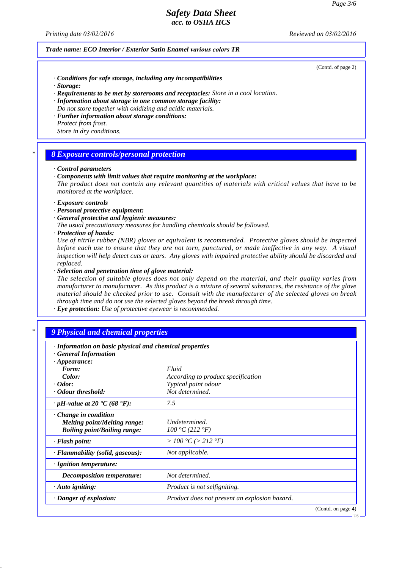*Printing date 03/02/2016 Reviewed on 03/02/2016*

#### *Trade name: ECO Interior / Exterior Satin Enamel various colors TR*

(Contd. of page 2)

- *· Conditions for safe storage, including any incompatibilities*
- *· Storage:*
- *· Requirements to be met by storerooms and receptacles: Store in a cool location.*
- *· Information about storage in one common storage facility:*
- *Do not store together with oxidizing and acidic materials. · Further information about storage conditions:*
- *Protect from frost. Store in dry conditions.*

#### *\* 8 Exposure controls/personal protection*

#### *· Control parameters*

*· Components with limit values that require monitoring at the workplace:*

*The product does not contain any relevant quantities of materials with critical values that have to be monitored at the workplace.*

- *· Exposure controls*
- *· Personal protective equipment:*
- *· General protective and hygienic measures:*
- *The usual precautionary measures for handling chemicals should be followed.*
- *· Protection of hands:*

*Use of nitrile rubber (NBR) gloves or equivalent is recommended. Protective gloves should be inspected before each use to ensure that they are not torn, punctured, or made ineffective in any way. A visual inspection will help detect cuts or tears. Any gloves with impaired protective ability should be discarded and replaced.*

*· Selection and penetration time of glove material:*

*The selection of suitable gloves does not only depend on the material, and their quality varies from manufacturer to manufacturer. As this product is a mixture of several substances, the resistance of the glove material should be checked prior to use. Consult with the manufacturer of the selected gloves on break through time and do not use the selected gloves beyond the break through time.*

*· Eye protection: Use of protective eyewear is recommended.*

### *\* 9 Physical and chemical properties*

| · Information on basic physical and chemical properties                                                   |                                               |                    |
|-----------------------------------------------------------------------------------------------------------|-----------------------------------------------|--------------------|
| <b>General Information</b><br>$\cdot$ Appearance:                                                         |                                               |                    |
| Form:                                                                                                     | Fluid                                         |                    |
| Color:                                                                                                    | According to product specification            |                    |
| $\cdot$ Odor:                                                                                             | Typical paint odour                           |                    |
| · Odour threshold:                                                                                        | Not determined.                               |                    |
| $\cdot$ pH-value at 20 $\textdegree$ C (68 $\textdegree$ F):                                              | 7.5                                           |                    |
| $\cdot$ Change in condition<br><b>Melting point/Melting range:</b><br><b>Boiling point/Boiling range:</b> | Undetermined.<br>100 °C (212 °F)              |                    |
| $\cdot$ Flash point:                                                                                      | > 100 °C (> 212 °F)                           |                    |
| · Flammability (solid, gaseous):                                                                          | Not applicable.                               |                    |
| · Ignition temperature:                                                                                   |                                               |                    |
| Decomposition temperature:                                                                                | Not determined.                               |                    |
| $\cdot$ Auto igniting:                                                                                    | <i>Product is not selfigniting.</i>           |                    |
| · Danger of explosion:                                                                                    | Product does not present an explosion hazard. |                    |
|                                                                                                           |                                               | (Contd. on page 4) |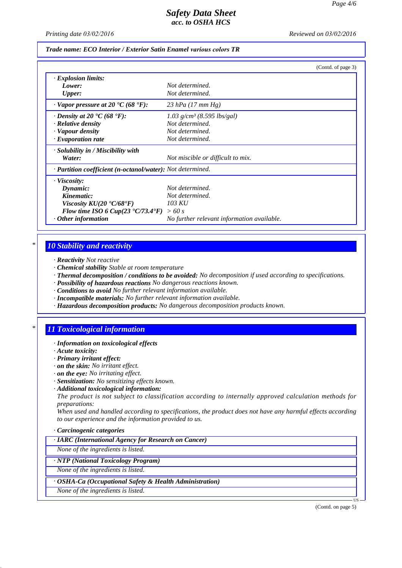*Printing date 03/02/2016 Reviewed on 03/02/2016*

#### *Trade name: ECO Interior / Exterior Satin Enamel various colors TR*

|                                                              | (Contd. of page 3)                         |
|--------------------------------------------------------------|--------------------------------------------|
| <b>Explosion limits:</b>                                     |                                            |
| Lower:                                                       | Not determined.                            |
| <b>Upper:</b>                                                | Not determined.                            |
| $\cdot$ Vapor pressure at 20 °C (68 °F):                     | 23 hPa $(17 \, \text{mm Hg})$              |
| $\cdot$ Density at 20 $\cdot$ C (68 $\cdot$ F):              | 1.03 $g/cm^3$ (8.595 lbs/gal)              |
| · Relative density                                           | Not determined.                            |
| · Vapour density                                             | Not determined.                            |
| $\cdot$ Evaporation rate                                     | Not determined.                            |
| $\cdot$ Solubility in / Miscibility with                     |                                            |
| Water:                                                       | Not miscible or difficult to mix.          |
| · Partition coefficient (n-octanol/water): Not determined.   |                                            |
| $\cdot$ Viscosity:                                           |                                            |
| Dynamic:                                                     | Not determined.                            |
| Kinematic:                                                   | Not determined.                            |
| Viscosity $KU(20 \text{ }^{\circ}C/68 \text{ }^{\circ}F)$    | 103 KU                                     |
| Flow time ISO 6 Cup(23 $\textdegree$ C/73.4 $\textdegree$ F) | >60 s                                      |
| $\cdot$ Other information                                    | No further relevant information available. |

### *\* 10 Stability and reactivity*

- *· Reactivity Not reactive*
- *· Chemical stability Stable at room temperature*
- *· Thermal decomposition / conditions to be avoided: No decomposition if used according to specifications.*
- *· Possibility of hazardous reactions No dangerous reactions known.*
- *· Conditions to avoid No further relevant information available.*
- *· Incompatible materials: No further relevant information available.*
- *· Hazardous decomposition products: No dangerous decomposition products known.*

# *\* 11 Toxicological information*

- *· Information on toxicological effects*
- *· Acute toxicity:*
- *· Primary irritant effect:*
- *· on the skin: No irritant effect.*
- *· on the eye: No irritating effect.*
- *· Sensitization: No sensitizing effects known.*
- *· Additional toxicological information:*

*The product is not subject to classification according to internally approved calculation methods for preparations:*

*When used and handled according to specifications, the product does not have any harmful effects according to our experience and the information provided to us.*

#### *· Carcinogenic categories*

*· IARC (International Agency for Research on Cancer)*

*None of the ingredients is listed.*

## *· NTP (National Toxicology Program)*

*None of the ingredients is listed.*

*· OSHA-Ca (Occupational Safety & Health Administration)*

*None of the ingredients is listed.*

(Contd. on page 5)

US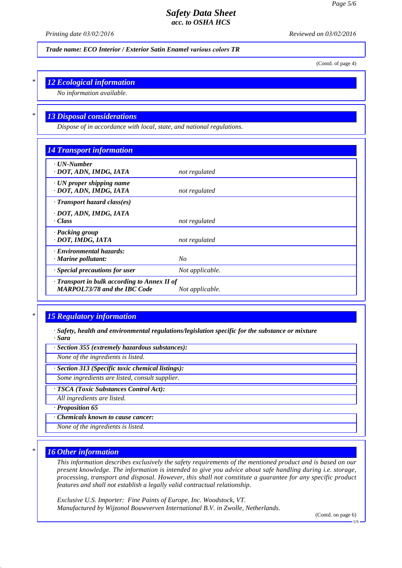*Printing date 03/02/2016 Reviewed on 03/02/2016*

*Trade name: ECO Interior / Exterior Satin Enamel various colors TR*

(Contd. of page 4)

# *\* 12 Ecological information*

*No information available.*

## *\* 13 Disposal considerations*

*Dispose of in accordance with local, state, and national regulations.*

| <b>14 Transport information</b>                                                     |                 |  |
|-------------------------------------------------------------------------------------|-----------------|--|
| $\cdot$ UN-Number<br>· DOT, ADN, IMDG, IATA                                         | not regulated   |  |
| $\cdot$ UN proper shipping name<br>· DOT, ADN, IMDG, IATA                           | not regulated   |  |
| $\cdot$ Transport hazard class(es)                                                  |                 |  |
| · DOT, ADN, IMDG, IATA                                                              |                 |  |
| · Class                                                                             | not regulated   |  |
| · Packing group<br>· DOT, IMDG, IATA                                                | not regulated   |  |
| · Environmental hazards:                                                            |                 |  |
| $\cdot$ Marine pollutant:                                                           | $N_{O}$         |  |
| · Special precautions for user                                                      | Not applicable. |  |
| · Transport in bulk according to Annex II of<br><b>MARPOL73/78 and the IBC Code</b> | Not applicable. |  |

# *\* 15 Regulatory information*

*· Safety, health and environmental regulations/legislation specific for the substance or mixture · Sara*

*· Section 355 (extremely hazardous substances):*

*None of the ingredients is listed.*

*· Section 313 (Specific toxic chemical listings):*

*Some ingredients are listed, consult supplier.*

*· TSCA (Toxic Substances Control Act):*

*All ingredients are listed.*

*· Proposition 65*

*· Chemicals known to cause cancer:*

*None of the ingredients is listed.*

#### *\* 16 Other information*

*This information describes exclusively the safety requirements of the mentioned product and is based on our present knowledge. The information is intended to give you advice about safe handling during i.e. storage, processing, transport and disposal. However, this shall not constitute a guarantee for any specific product features and shall not establish a legally valid contractual relationship.*

*Exclusive U.S. Importer: Fine Paints of Europe, Inc. Woodstock, VT. Manufactured by Wijzonol Bouwverven International B.V. in Zwolle, Netherlands.*

(Contd. on page 6)

**TIS**